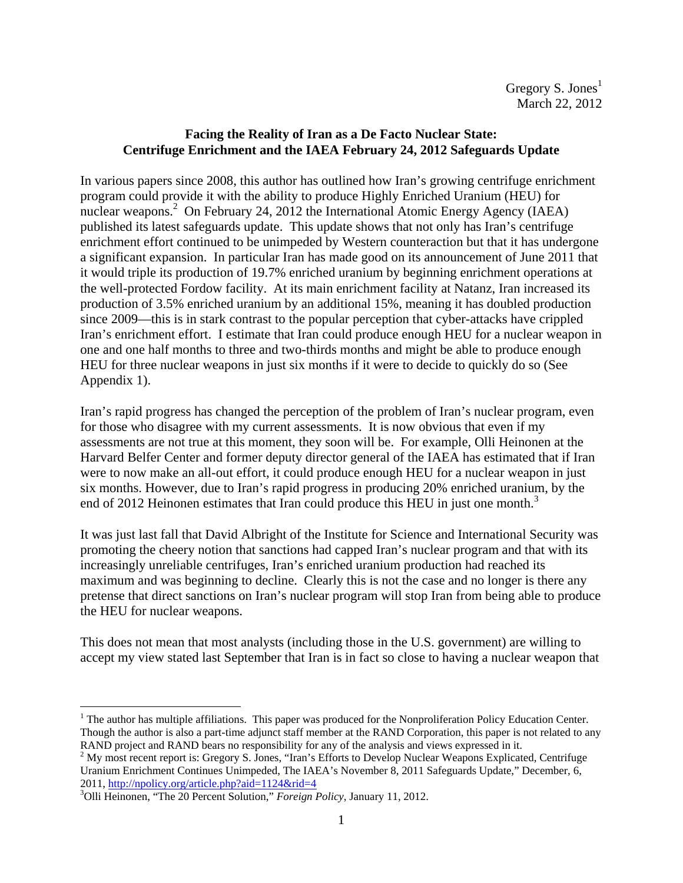# **Facing the Reality of Iran as a De Facto Nuclear State: Centrifuge Enrichment and the IAEA February 24, 2012 Safeguards Update**

In various papers since 2008, this author has outlined how Iran's growing centrifuge enrichment program could provide it with the ability to produce Highly Enriched Uranium (HEU) for nuclear weapons.<sup>2</sup> On February 24, 2012 the International Atomic Energy Agency (IAEA) published its latest safeguards update. This update shows that not only has Iran's centrifuge enrichment effort continued to be unimpeded by Western counteraction but that it has undergone a significant expansion. In particular Iran has made good on its announcement of June 2011 that it would triple its production of 19.7% enriched uranium by beginning enrichment operations at the well-protected Fordow facility. At its main enrichment facility at Natanz, Iran increased its production of 3.5% enriched uranium by an additional 15%, meaning it has doubled production since 2009—this is in stark contrast to the popular perception that cyber-attacks have crippled Iran's enrichment effort. I estimate that Iran could produce enough HEU for a nuclear weapon in one and one half months to three and two-thirds months and might be able to produce enough HEU for three nuclear weapons in just six months if it were to decide to quickly do so (See Appendix 1).

Iran's rapid progress has changed the perception of the problem of Iran's nuclear program, even for those who disagree with my current assessments. It is now obvious that even if my assessments are not true at this moment, they soon will be. For example, Olli Heinonen at the Harvard Belfer Center and former deputy director general of the IAEA has estimated that if Iran were to now make an all-out effort, it could produce enough HEU for a nuclear weapon in just six months. However, due to Iran's rapid progress in producing 20% enriched uranium, by the end of 2012 Heinonen estimates that Iran could produce this HEU in just one month.<sup>3</sup>

It was just last fall that David Albright of the Institute for Science and International Security was promoting the cheery notion that sanctions had capped Iran's nuclear program and that with its increasingly unreliable centrifuges, Iran's enriched uranium production had reached its maximum and was beginning to decline. Clearly this is not the case and no longer is there any pretense that direct sanctions on Iran's nuclear program will stop Iran from being able to produce the HEU for nuclear weapons.

This does not mean that most analysts (including those in the U.S. government) are willing to accept my view stated last September that Iran is in fact so close to having a nuclear weapon that

<sup>&</sup>lt;u>.</u>  $<sup>1</sup>$  The author has multiple affiliations. This paper was produced for the Nonproliferation Policy Education Center.</sup> Though the author is also a part-time adjunct staff member at the RAND Corporation, this paper is not related to any RAND project and RAND bears no responsibility for any of the analysis and views expressed in it.

<sup>&</sup>lt;sup>2</sup> My most recent report is: Gregory S. Jones, "Iran's Efforts to Develop Nuclear Weapons Explicated, Centrifuge Uranium Enrichment Continues Unimpeded, The IAEA's November 8, 2011 Safeguards Update," December, 6, 2011, http://npolicy.org/article.php?aid=1124&rid=4

Olli Heinonen, "The 20 Percent Solution," *Foreign Policy*, January 11, 2012.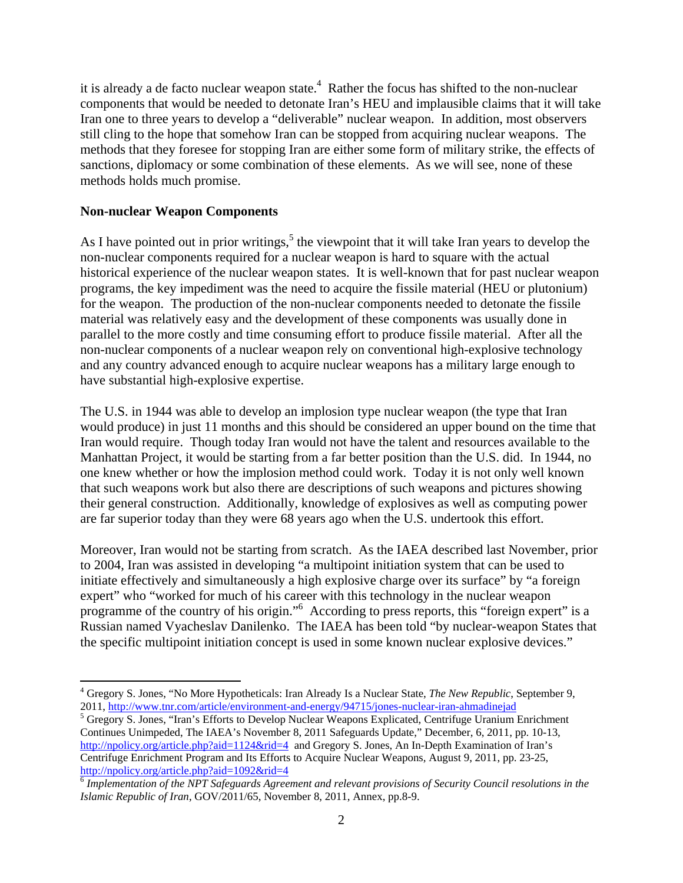it is already a de facto nuclear weapon state.<sup>4</sup> Rather the focus has shifted to the non-nuclear components that would be needed to detonate Iran's HEU and implausible claims that it will take Iran one to three years to develop a "deliverable" nuclear weapon. In addition, most observers still cling to the hope that somehow Iran can be stopped from acquiring nuclear weapons. The methods that they foresee for stopping Iran are either some form of military strike, the effects of sanctions, diplomacy or some combination of these elements. As we will see, none of these methods holds much promise.

# **Non-nuclear Weapon Components**

1

As I have pointed out in prior writings,  $5$  the viewpoint that it will take Iran years to develop the non-nuclear components required for a nuclear weapon is hard to square with the actual historical experience of the nuclear weapon states. It is well-known that for past nuclear weapon programs, the key impediment was the need to acquire the fissile material (HEU or plutonium) for the weapon. The production of the non-nuclear components needed to detonate the fissile material was relatively easy and the development of these components was usually done in parallel to the more costly and time consuming effort to produce fissile material. After all the non-nuclear components of a nuclear weapon rely on conventional high-explosive technology and any country advanced enough to acquire nuclear weapons has a military large enough to have substantial high-explosive expertise.

The U.S. in 1944 was able to develop an implosion type nuclear weapon (the type that Iran would produce) in just 11 months and this should be considered an upper bound on the time that Iran would require. Though today Iran would not have the talent and resources available to the Manhattan Project, it would be starting from a far better position than the U.S. did. In 1944, no one knew whether or how the implosion method could work. Today it is not only well known that such weapons work but also there are descriptions of such weapons and pictures showing their general construction. Additionally, knowledge of explosives as well as computing power are far superior today than they were 68 years ago when the U.S. undertook this effort.

Moreover, Iran would not be starting from scratch. As the IAEA described last November, prior to 2004, Iran was assisted in developing "a multipoint initiation system that can be used to initiate effectively and simultaneously a high explosive charge over its surface" by "a foreign expert" who "worked for much of his career with this technology in the nuclear weapon programme of the country of his origin."<sup>6</sup> According to press reports, this "foreign expert" is a Russian named Vyacheslav Danilenko. The IAEA has been told "by nuclear-weapon States that the specific multipoint initiation concept is used in some known nuclear explosive devices."

<sup>4</sup> Gregory S. Jones, "No More Hypotheticals: Iran Already Is a Nuclear State, *The New Republic*, September 9, 2011, http://www.tnr.com/article/environment-and-energy/94715/jones-nuclear-iran-ahmadinejad 5

<sup>&</sup>lt;sup>5</sup> Gregory S. Jones, "Iran's Efforts to Develop Nuclear Weapons Explicated, Centrifuge Uranium Enrichment Continues Unimpeded, The IAEA's November 8, 2011 Safeguards Update," December, 6, 2011, pp. 10-13, http://npolicy.org/article.php?aid=1124&rid=4 and Gregory S. Jones, An In-Depth Examination of Iran's Centrifuge Enrichment Program and Its Efforts to Acquire Nuclear Weapons, August 9, 2011, pp. 23-25, http://npolicy.org/article.php?aid=1092&rid=4

<sup>6</sup> *Implementation of the NPT Safeguards Agreement and relevant provisions of Security Council resolutions in the Islamic Republic of Iran*, GOV/2011/65, November 8, 2011, Annex, pp.8-9.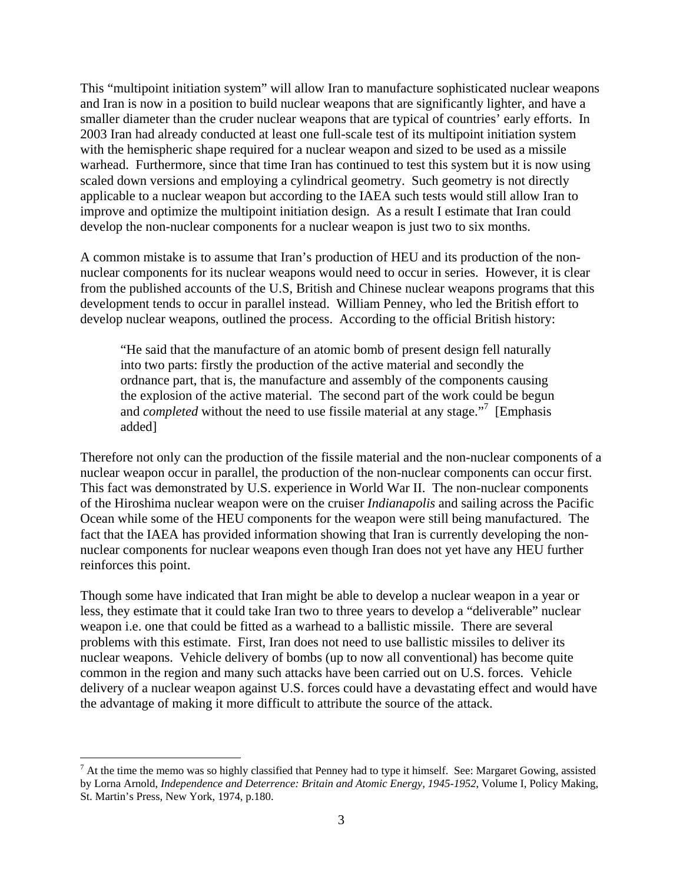This "multipoint initiation system" will allow Iran to manufacture sophisticated nuclear weapons and Iran is now in a position to build nuclear weapons that are significantly lighter, and have a smaller diameter than the cruder nuclear weapons that are typical of countries' early efforts. In 2003 Iran had already conducted at least one full-scale test of its multipoint initiation system with the hemispheric shape required for a nuclear weapon and sized to be used as a missile warhead. Furthermore, since that time Iran has continued to test this system but it is now using scaled down versions and employing a cylindrical geometry. Such geometry is not directly applicable to a nuclear weapon but according to the IAEA such tests would still allow Iran to improve and optimize the multipoint initiation design. As a result I estimate that Iran could develop the non-nuclear components for a nuclear weapon is just two to six months.

A common mistake is to assume that Iran's production of HEU and its production of the nonnuclear components for its nuclear weapons would need to occur in series. However, it is clear from the published accounts of the U.S, British and Chinese nuclear weapons programs that this development tends to occur in parallel instead. William Penney, who led the British effort to develop nuclear weapons, outlined the process. According to the official British history:

"He said that the manufacture of an atomic bomb of present design fell naturally into two parts: firstly the production of the active material and secondly the ordnance part, that is, the manufacture and assembly of the components causing the explosion of the active material. The second part of the work could be begun and *completed* without the need to use fissile material at any stage."<sup>7</sup> [Emphasis added]

Therefore not only can the production of the fissile material and the non-nuclear components of a nuclear weapon occur in parallel, the production of the non-nuclear components can occur first. This fact was demonstrated by U.S. experience in World War II. The non-nuclear components of the Hiroshima nuclear weapon were on the cruiser *Indianapolis* and sailing across the Pacific Ocean while some of the HEU components for the weapon were still being manufactured. The fact that the IAEA has provided information showing that Iran is currently developing the nonnuclear components for nuclear weapons even though Iran does not yet have any HEU further reinforces this point.

Though some have indicated that Iran might be able to develop a nuclear weapon in a year or less, they estimate that it could take Iran two to three years to develop a "deliverable" nuclear weapon i.e. one that could be fitted as a warhead to a ballistic missile. There are several problems with this estimate. First, Iran does not need to use ballistic missiles to deliver its nuclear weapons. Vehicle delivery of bombs (up to now all conventional) has become quite common in the region and many such attacks have been carried out on U.S. forces. Vehicle delivery of a nuclear weapon against U.S. forces could have a devastating effect and would have the advantage of making it more difficult to attribute the source of the attack.

 $\overline{a}$ 

 $<sup>7</sup>$  At the time the memo was so highly classified that Penney had to type it himself. See: Margaret Gowing, assisted</sup> by Lorna Arnold, *Independence and Deterrence: Britain and Atomic Energy, 1945-1952*, Volume I, Policy Making, St. Martin's Press, New York, 1974, p.180.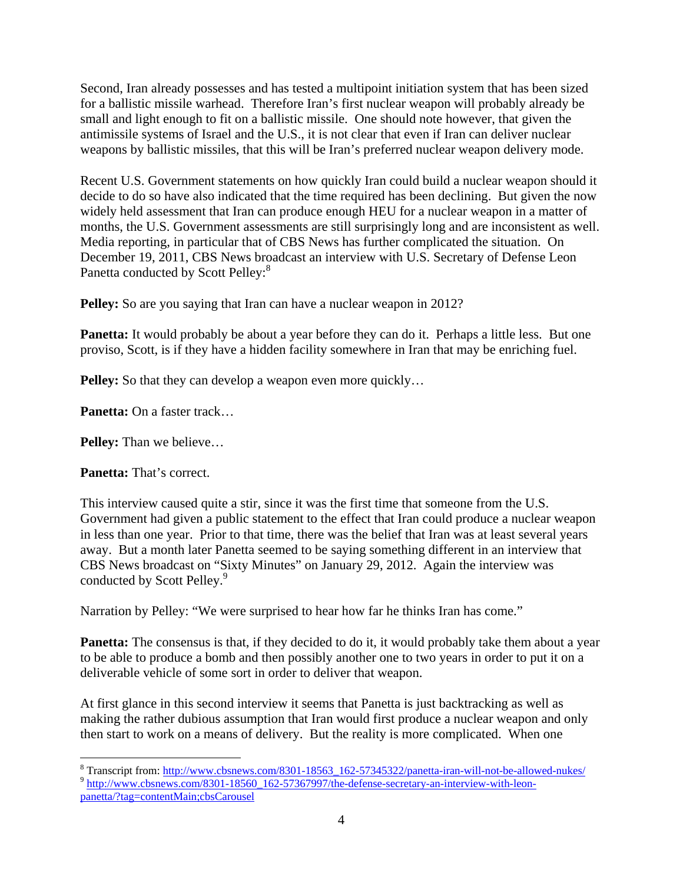Second, Iran already possesses and has tested a multipoint initiation system that has been sized for a ballistic missile warhead. Therefore Iran's first nuclear weapon will probably already be small and light enough to fit on a ballistic missile. One should note however, that given the antimissile systems of Israel and the U.S., it is not clear that even if Iran can deliver nuclear weapons by ballistic missiles, that this will be Iran's preferred nuclear weapon delivery mode.

Recent U.S. Government statements on how quickly Iran could build a nuclear weapon should it decide to do so have also indicated that the time required has been declining. But given the now widely held assessment that Iran can produce enough HEU for a nuclear weapon in a matter of months, the U.S. Government assessments are still surprisingly long and are inconsistent as well. Media reporting, in particular that of CBS News has further complicated the situation. On December 19, 2011, CBS News broadcast an interview with U.S. Secretary of Defense Leon Panetta conducted by Scott Pelley:<sup>8</sup>

**Pelley:** So are you saying that Iran can have a nuclear weapon in 2012?

**Panetta:** It would probably be about a year before they can do it. Perhaps a little less. But one proviso, Scott, is if they have a hidden facility somewhere in Iran that may be enriching fuel.

**Pelley:** So that they can develop a weapon even more quickly...

**Panetta:** On a faster track…

**Pelley:** Than we believe…

**Panetta:** That's correct.

 $\overline{a}$ 

This interview caused quite a stir, since it was the first time that someone from the U.S. Government had given a public statement to the effect that Iran could produce a nuclear weapon in less than one year. Prior to that time, there was the belief that Iran was at least several years away. But a month later Panetta seemed to be saying something different in an interview that CBS News broadcast on "Sixty Minutes" on January 29, 2012. Again the interview was conducted by Scott Pelley.<sup>9</sup>

Narration by Pelley: "We were surprised to hear how far he thinks Iran has come."

**Panetta:** The consensus is that, if they decided to do it, it would probably take them about a year to be able to produce a bomb and then possibly another one to two years in order to put it on a deliverable vehicle of some sort in order to deliver that weapon.

At first glance in this second interview it seems that Panetta is just backtracking as well as making the rather dubious assumption that Iran would first produce a nuclear weapon and only then start to work on a means of delivery. But the reality is more complicated. When one

<sup>&</sup>lt;sup>8</sup> Transcript from: http://www.cbsnews.com/8301-18563 162-57345322/panetta-iran-will-not-be-allowed-nukes/  $\frac{9 \text{ http://www.cbsnews.com/8301-18560\_162-57367997/the-defense-ssecretary-an-interview-with-leon-} }{9 \text{ http://www.cbsnews.com/8301-18560\_162-57367997/the-defense-ssecretary-an-interview-with-leon-} }$ panetta/?tag=contentMain;cbsCarousel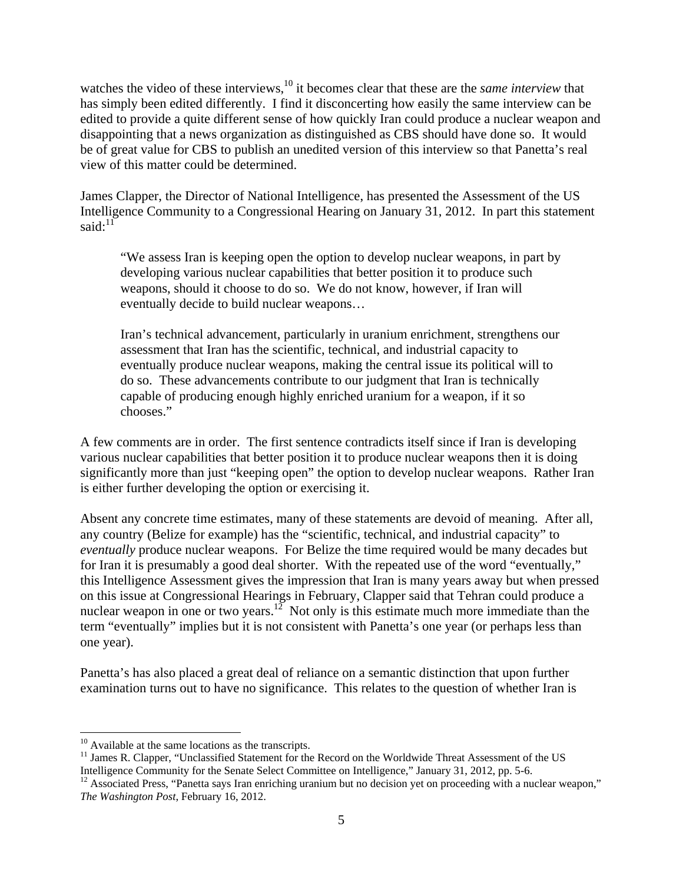watches the video of these interviews,<sup>10</sup> it becomes clear that these are the *same interview* that has simply been edited differently. I find it disconcerting how easily the same interview can be edited to provide a quite different sense of how quickly Iran could produce a nuclear weapon and disappointing that a news organization as distinguished as CBS should have done so. It would be of great value for CBS to publish an unedited version of this interview so that Panetta's real view of this matter could be determined.

James Clapper, the Director of National Intelligence, has presented the Assessment of the US Intelligence Community to a Congressional Hearing on January 31, 2012. In part this statement said: $11$ 

"We assess Iran is keeping open the option to develop nuclear weapons, in part by developing various nuclear capabilities that better position it to produce such weapons, should it choose to do so. We do not know, however, if Iran will eventually decide to build nuclear weapons…

Iran's technical advancement, particularly in uranium enrichment, strengthens our assessment that Iran has the scientific, technical, and industrial capacity to eventually produce nuclear weapons, making the central issue its political will to do so. These advancements contribute to our judgment that Iran is technically capable of producing enough highly enriched uranium for a weapon, if it so chooses."

A few comments are in order. The first sentence contradicts itself since if Iran is developing various nuclear capabilities that better position it to produce nuclear weapons then it is doing significantly more than just "keeping open" the option to develop nuclear weapons. Rather Iran is either further developing the option or exercising it.

Absent any concrete time estimates, many of these statements are devoid of meaning. After all, any country (Belize for example) has the "scientific, technical, and industrial capacity" to *eventually* produce nuclear weapons. For Belize the time required would be many decades but for Iran it is presumably a good deal shorter. With the repeated use of the word "eventually," this Intelligence Assessment gives the impression that Iran is many years away but when pressed on this issue at Congressional Hearings in February, Clapper said that Tehran could produce a nuclear weapon in one or two years.<sup>12</sup> Not only is this estimate much more immediate than the term "eventually" implies but it is not consistent with Panetta's one year (or perhaps less than one year).

Panetta's has also placed a great deal of reliance on a semantic distinction that upon further examination turns out to have no significance. This relates to the question of whether Iran is

 $\overline{a}$ 

<sup>&</sup>lt;sup>10</sup> Available at the same locations as the transcripts.

<sup>&</sup>lt;sup>11</sup> James R. Clapper, "Unclassified Statement for the Record on the Worldwide Threat Assessment of the US Intelligence Community for the Senate Select Committee on Intelligence," January 31, 2012, pp. 5-6.<br><sup>12</sup> Associated Press, "Panetta says Iran enriching uranium but no decision yet on proceeding with a nuclear weapon,"

*The Washington Post*, February 16, 2012.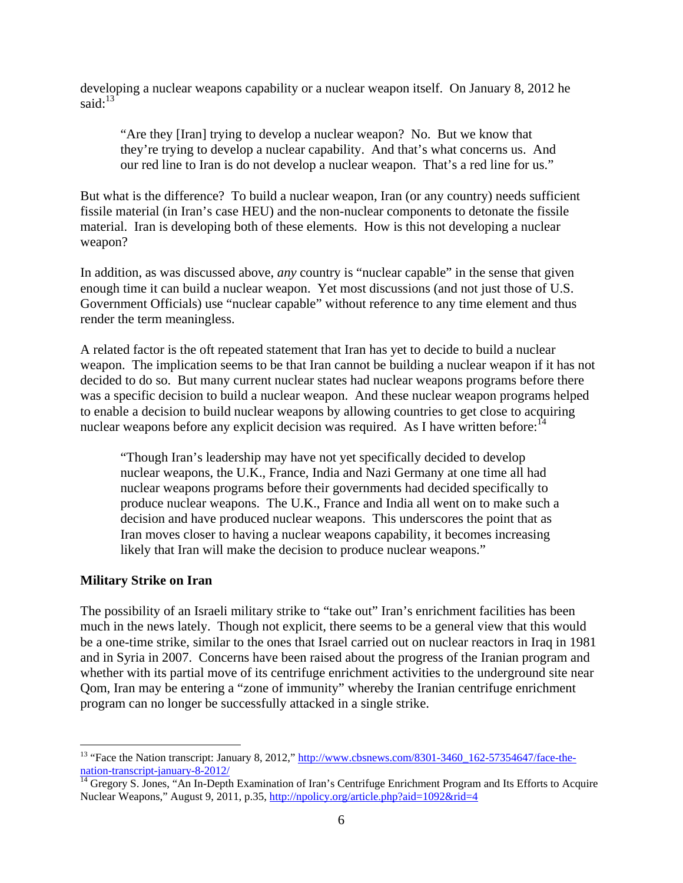developing a nuclear weapons capability or a nuclear weapon itself. On January 8, 2012 he said: $13$ 

"Are they [Iran] trying to develop a nuclear weapon? No. But we know that they're trying to develop a nuclear capability. And that's what concerns us. And our red line to Iran is do not develop a nuclear weapon. That's a red line for us."

But what is the difference? To build a nuclear weapon, Iran (or any country) needs sufficient fissile material (in Iran's case HEU) and the non-nuclear components to detonate the fissile material. Iran is developing both of these elements. How is this not developing a nuclear weapon?

In addition, as was discussed above, *any* country is "nuclear capable" in the sense that given enough time it can build a nuclear weapon. Yet most discussions (and not just those of U.S. Government Officials) use "nuclear capable" without reference to any time element and thus render the term meaningless.

A related factor is the oft repeated statement that Iran has yet to decide to build a nuclear weapon. The implication seems to be that Iran cannot be building a nuclear weapon if it has not decided to do so. But many current nuclear states had nuclear weapons programs before there was a specific decision to build a nuclear weapon. And these nuclear weapon programs helped to enable a decision to build nuclear weapons by allowing countries to get close to acquiring nuclear weapons before any explicit decision was required. As I have written before:  $14$ 

"Though Iran's leadership may have not yet specifically decided to develop nuclear weapons, the U.K., France, India and Nazi Germany at one time all had nuclear weapons programs before their governments had decided specifically to produce nuclear weapons. The U.K., France and India all went on to make such a decision and have produced nuclear weapons. This underscores the point that as Iran moves closer to having a nuclear weapons capability, it becomes increasing likely that Iran will make the decision to produce nuclear weapons."

### **Military Strike on Iran**

 $\overline{a}$ 

The possibility of an Israeli military strike to "take out" Iran's enrichment facilities has been much in the news lately. Though not explicit, there seems to be a general view that this would be a one-time strike, similar to the ones that Israel carried out on nuclear reactors in Iraq in 1981 and in Syria in 2007. Concerns have been raised about the progress of the Iranian program and whether with its partial move of its centrifuge enrichment activities to the underground site near Qom, Iran may be entering a "zone of immunity" whereby the Iranian centrifuge enrichment program can no longer be successfully attacked in a single strike.

<sup>&</sup>lt;sup>13</sup> "Face the Nation transcript: January 8, 2012," http://www.cbsnews.com/8301-3460\_162-57354647/face-thenation-transcript-january-8-2012/<br><sup>14</sup> Gregory S. Jones, "An In-Depth Examination of Iran's Centrifuge Enrichment Program and Its Efforts to Acquire

Nuclear Weapons," August 9, 2011, p.35, http://npolicy.org/article.php?aid=1092&rid=4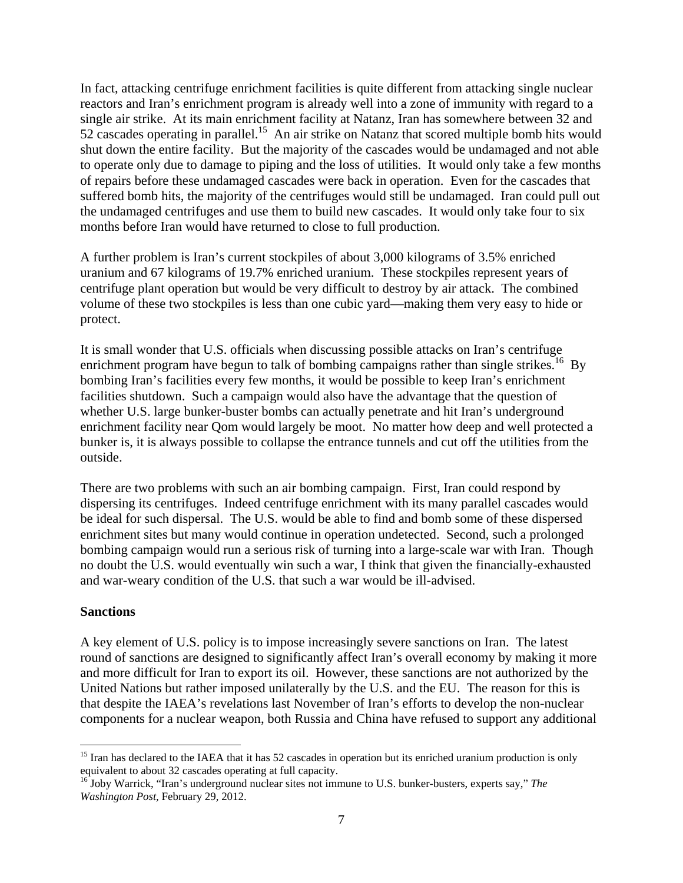In fact, attacking centrifuge enrichment facilities is quite different from attacking single nuclear reactors and Iran's enrichment program is already well into a zone of immunity with regard to a single air strike. At its main enrichment facility at Natanz, Iran has somewhere between 32 and 52 cascades operating in parallel.<sup>15</sup> An air strike on Natanz that scored multiple bomb hits would shut down the entire facility. But the majority of the cascades would be undamaged and not able to operate only due to damage to piping and the loss of utilities. It would only take a few months of repairs before these undamaged cascades were back in operation. Even for the cascades that suffered bomb hits, the majority of the centrifuges would still be undamaged. Iran could pull out the undamaged centrifuges and use them to build new cascades. It would only take four to six months before Iran would have returned to close to full production.

A further problem is Iran's current stockpiles of about 3,000 kilograms of 3.5% enriched uranium and 67 kilograms of 19.7% enriched uranium. These stockpiles represent years of centrifuge plant operation but would be very difficult to destroy by air attack. The combined volume of these two stockpiles is less than one cubic yard—making them very easy to hide or protect.

It is small wonder that U.S. officials when discussing possible attacks on Iran's centrifuge enrichment program have begun to talk of bombing campaigns rather than single strikes.<sup>16</sup> By bombing Iran's facilities every few months, it would be possible to keep Iran's enrichment facilities shutdown. Such a campaign would also have the advantage that the question of whether U.S. large bunker-buster bombs can actually penetrate and hit Iran's underground enrichment facility near Qom would largely be moot. No matter how deep and well protected a bunker is, it is always possible to collapse the entrance tunnels and cut off the utilities from the outside.

There are two problems with such an air bombing campaign. First, Iran could respond by dispersing its centrifuges. Indeed centrifuge enrichment with its many parallel cascades would be ideal for such dispersal. The U.S. would be able to find and bomb some of these dispersed enrichment sites but many would continue in operation undetected. Second, such a prolonged bombing campaign would run a serious risk of turning into a large-scale war with Iran. Though no doubt the U.S. would eventually win such a war, I think that given the financially-exhausted and war-weary condition of the U.S. that such a war would be ill-advised.

#### **Sanctions**

 $\overline{a}$ 

A key element of U.S. policy is to impose increasingly severe sanctions on Iran. The latest round of sanctions are designed to significantly affect Iran's overall economy by making it more and more difficult for Iran to export its oil. However, these sanctions are not authorized by the United Nations but rather imposed unilaterally by the U.S. and the EU. The reason for this is that despite the IAEA's revelations last November of Iran's efforts to develop the non-nuclear components for a nuclear weapon, both Russia and China have refused to support any additional

<sup>&</sup>lt;sup>15</sup> Iran has declared to the IAEA that it has 52 cascades in operation but its enriched uranium production is only equivalent to about 32 cascades operating at full capacity.

<sup>&</sup>lt;sup>16</sup> Joby Warrick, "Iran's underground nuclear sites not immune to U.S. bunker-busters, experts say," The *Washington Post*, February 29, 2012.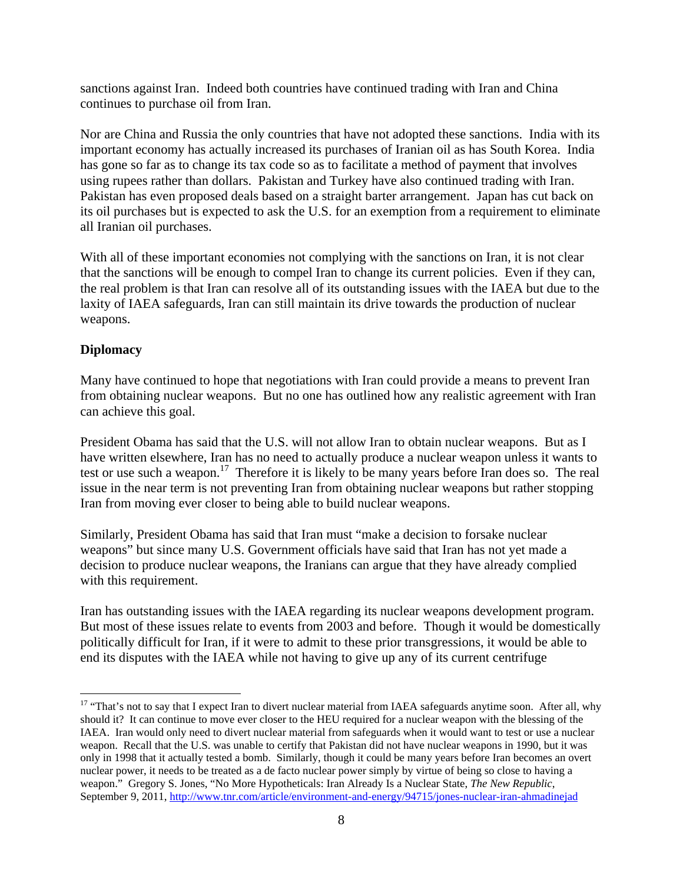sanctions against Iran. Indeed both countries have continued trading with Iran and China continues to purchase oil from Iran.

Nor are China and Russia the only countries that have not adopted these sanctions. India with its important economy has actually increased its purchases of Iranian oil as has South Korea. India has gone so far as to change its tax code so as to facilitate a method of payment that involves using rupees rather than dollars. Pakistan and Turkey have also continued trading with Iran. Pakistan has even proposed deals based on a straight barter arrangement. Japan has cut back on its oil purchases but is expected to ask the U.S. for an exemption from a requirement to eliminate all Iranian oil purchases.

With all of these important economies not complying with the sanctions on Iran, it is not clear that the sanctions will be enough to compel Iran to change its current policies. Even if they can, the real problem is that Iran can resolve all of its outstanding issues with the IAEA but due to the laxity of IAEA safeguards, Iran can still maintain its drive towards the production of nuclear weapons.

# **Diplomacy**

 $\overline{a}$ 

Many have continued to hope that negotiations with Iran could provide a means to prevent Iran from obtaining nuclear weapons. But no one has outlined how any realistic agreement with Iran can achieve this goal.

President Obama has said that the U.S. will not allow Iran to obtain nuclear weapons. But as I have written elsewhere, Iran has no need to actually produce a nuclear weapon unless it wants to test or use such a weapon.<sup>17</sup> Therefore it is likely to be many years before Iran does so. The real issue in the near term is not preventing Iran from obtaining nuclear weapons but rather stopping Iran from moving ever closer to being able to build nuclear weapons.

Similarly, President Obama has said that Iran must "make a decision to forsake nuclear weapons" but since many U.S. Government officials have said that Iran has not yet made a decision to produce nuclear weapons, the Iranians can argue that they have already complied with this requirement.

Iran has outstanding issues with the IAEA regarding its nuclear weapons development program. But most of these issues relate to events from 2003 and before. Though it would be domestically politically difficult for Iran, if it were to admit to these prior transgressions, it would be able to end its disputes with the IAEA while not having to give up any of its current centrifuge

<sup>&</sup>lt;sup>17</sup> "That's not to say that I expect Iran to divert nuclear material from IAEA safeguards anytime soon. After all, why should it? It can continue to move ever closer to the HEU required for a nuclear weapon with the blessing of the IAEA. Iran would only need to divert nuclear material from safeguards when it would want to test or use a nuclear weapon. Recall that the U.S. was unable to certify that Pakistan did not have nuclear weapons in 1990, but it was only in 1998 that it actually tested a bomb. Similarly, though it could be many years before Iran becomes an overt nuclear power, it needs to be treated as a de facto nuclear power simply by virtue of being so close to having a weapon." Gregory S. Jones, "No More Hypotheticals: Iran Already Is a Nuclear State, *The New Republic*, September 9, 2011, http://www.tnr.com/article/environment-and-energy/94715/jones-nuclear-iran-ahmadinejad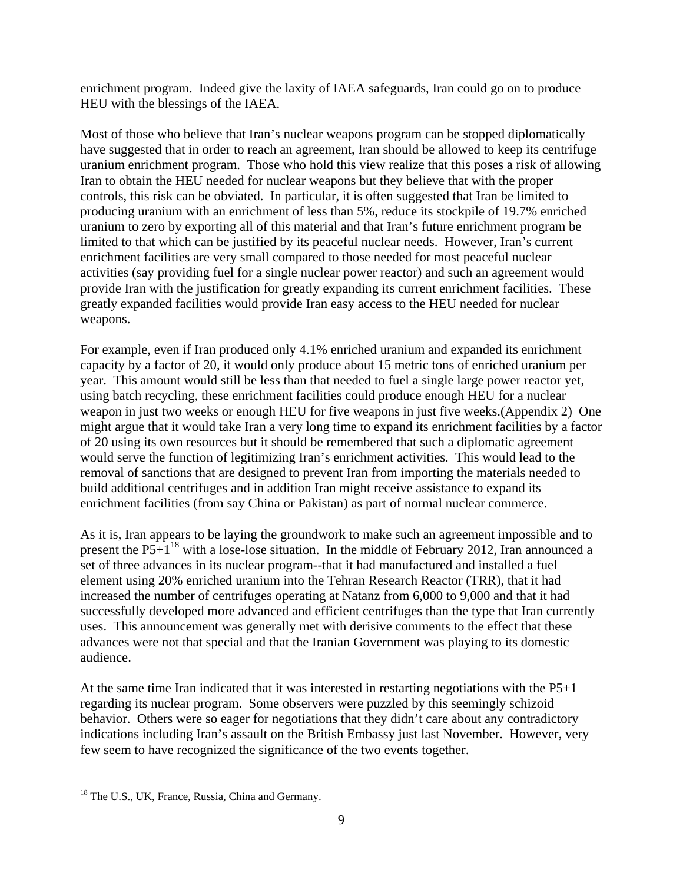enrichment program. Indeed give the laxity of IAEA safeguards, Iran could go on to produce HEU with the blessings of the IAEA.

Most of those who believe that Iran's nuclear weapons program can be stopped diplomatically have suggested that in order to reach an agreement, Iran should be allowed to keep its centrifuge uranium enrichment program. Those who hold this view realize that this poses a risk of allowing Iran to obtain the HEU needed for nuclear weapons but they believe that with the proper controls, this risk can be obviated. In particular, it is often suggested that Iran be limited to producing uranium with an enrichment of less than 5%, reduce its stockpile of 19.7% enriched uranium to zero by exporting all of this material and that Iran's future enrichment program be limited to that which can be justified by its peaceful nuclear needs. However, Iran's current enrichment facilities are very small compared to those needed for most peaceful nuclear activities (say providing fuel for a single nuclear power reactor) and such an agreement would provide Iran with the justification for greatly expanding its current enrichment facilities. These greatly expanded facilities would provide Iran easy access to the HEU needed for nuclear weapons.

For example, even if Iran produced only 4.1% enriched uranium and expanded its enrichment capacity by a factor of 20, it would only produce about 15 metric tons of enriched uranium per year. This amount would still be less than that needed to fuel a single large power reactor yet, using batch recycling, these enrichment facilities could produce enough HEU for a nuclear weapon in just two weeks or enough HEU for five weapons in just five weeks.(Appendix 2) One might argue that it would take Iran a very long time to expand its enrichment facilities by a factor of 20 using its own resources but it should be remembered that such a diplomatic agreement would serve the function of legitimizing Iran's enrichment activities. This would lead to the removal of sanctions that are designed to prevent Iran from importing the materials needed to build additional centrifuges and in addition Iran might receive assistance to expand its enrichment facilities (from say China or Pakistan) as part of normal nuclear commerce.

As it is, Iran appears to be laying the groundwork to make such an agreement impossible and to present the  $P5+1^{18}$  with a lose-lose situation. In the middle of February 2012, Iran announced a set of three advances in its nuclear program--that it had manufactured and installed a fuel element using 20% enriched uranium into the Tehran Research Reactor (TRR), that it had increased the number of centrifuges operating at Natanz from 6,000 to 9,000 and that it had successfully developed more advanced and efficient centrifuges than the type that Iran currently uses. This announcement was generally met with derisive comments to the effect that these advances were not that special and that the Iranian Government was playing to its domestic audience.

At the same time Iran indicated that it was interested in restarting negotiations with the P5+1 regarding its nuclear program. Some observers were puzzled by this seemingly schizoid behavior. Others were so eager for negotiations that they didn't care about any contradictory indications including Iran's assault on the British Embassy just last November. However, very few seem to have recognized the significance of the two events together.

 $\overline{a}$ <sup>18</sup> The U.S., UK, France, Russia, China and Germany.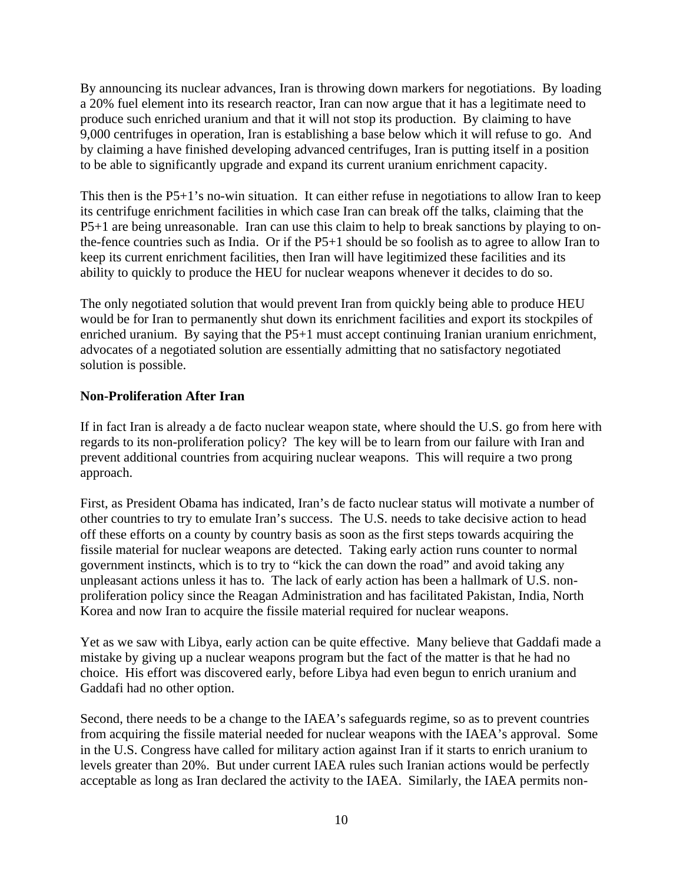By announcing its nuclear advances, Iran is throwing down markers for negotiations. By loading a 20% fuel element into its research reactor, Iran can now argue that it has a legitimate need to produce such enriched uranium and that it will not stop its production. By claiming to have 9,000 centrifuges in operation, Iran is establishing a base below which it will refuse to go. And by claiming a have finished developing advanced centrifuges, Iran is putting itself in a position to be able to significantly upgrade and expand its current uranium enrichment capacity.

This then is the P5+1's no-win situation. It can either refuse in negotiations to allow Iran to keep its centrifuge enrichment facilities in which case Iran can break off the talks, claiming that the P5+1 are being unreasonable. Iran can use this claim to help to break sanctions by playing to onthe-fence countries such as India. Or if the P5+1 should be so foolish as to agree to allow Iran to keep its current enrichment facilities, then Iran will have legitimized these facilities and its ability to quickly to produce the HEU for nuclear weapons whenever it decides to do so.

The only negotiated solution that would prevent Iran from quickly being able to produce HEU would be for Iran to permanently shut down its enrichment facilities and export its stockpiles of enriched uranium. By saying that the P5+1 must accept continuing Iranian uranium enrichment, advocates of a negotiated solution are essentially admitting that no satisfactory negotiated solution is possible.

# **Non-Proliferation After Iran**

If in fact Iran is already a de facto nuclear weapon state, where should the U.S. go from here with regards to its non-proliferation policy? The key will be to learn from our failure with Iran and prevent additional countries from acquiring nuclear weapons. This will require a two prong approach.

First, as President Obama has indicated, Iran's de facto nuclear status will motivate a number of other countries to try to emulate Iran's success. The U.S. needs to take decisive action to head off these efforts on a county by country basis as soon as the first steps towards acquiring the fissile material for nuclear weapons are detected. Taking early action runs counter to normal government instincts, which is to try to "kick the can down the road" and avoid taking any unpleasant actions unless it has to. The lack of early action has been a hallmark of U.S. nonproliferation policy since the Reagan Administration and has facilitated Pakistan, India, North Korea and now Iran to acquire the fissile material required for nuclear weapons.

Yet as we saw with Libya, early action can be quite effective. Many believe that Gaddafi made a mistake by giving up a nuclear weapons program but the fact of the matter is that he had no choice. His effort was discovered early, before Libya had even begun to enrich uranium and Gaddafi had no other option.

Second, there needs to be a change to the IAEA's safeguards regime, so as to prevent countries from acquiring the fissile material needed for nuclear weapons with the IAEA's approval. Some in the U.S. Congress have called for military action against Iran if it starts to enrich uranium to levels greater than 20%. But under current IAEA rules such Iranian actions would be perfectly acceptable as long as Iran declared the activity to the IAEA. Similarly, the IAEA permits non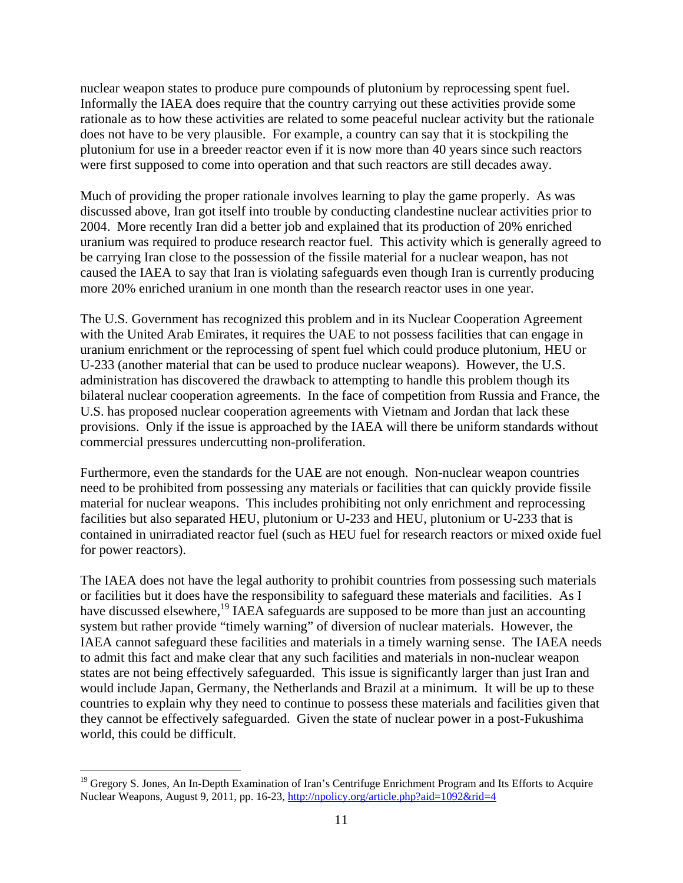nuclear weapon states to produce pure compounds of plutonium by reprocessing spent fuel. Informally the IAEA does require that the country carrying out these activities provide some rationale as to how these activities are related to some peaceful nuclear activity but the rationale does not have to be very plausible. For example, a country can say that it is stockpiling the plutonium for use in a breeder reactor even if it is now more than 40 years since such reactors were first supposed to come into operation and that such reactors are still decades away.

Much of providing the proper rationale involves learning to play the game properly. As was discussed above, Iran got itself into trouble by conducting clandestine nuclear activities prior to 2004. More recently Iran did a better job and explained that its production of 20% enriched uranium was required to produce research reactor fuel. This activity which is generally agreed to be carrying Iran close to the possession of the fissile material for a nuclear weapon, has not caused the IAEA to say that Iran is violating safeguards even though Iran is currently producing more 20% enriched uranium in one month than the research reactor uses in one year.

The U.S. Government has recognized this problem and in its Nuclear Cooperation Agreement with the United Arab Emirates, it requires the UAE to not possess facilities that can engage in uranium enrichment or the reprocessing of spent fuel which could produce plutonium, HEU or U-233 (another material that can be used to produce nuclear weapons). However, the U.S. administration has discovered the drawback to attempting to handle this problem though its bilateral nuclear cooperation agreements. In the face of competition from Russia and France, the U.S. has proposed nuclear cooperation agreements with Vietnam and Jordan that lack these provisions. Only if the issue is approached by the IAEA will there be uniform standards without commercial pressures undercutting non-proliferation.

Furthermore, even the standards for the UAE are not enough. Non-nuclear weapon countries need to be prohibited from possessing any materials or facilities that can quickly provide fissile material for nuclear weapons. This includes prohibiting not only enrichment and reprocessing facilities but also separated HEU, plutonium or U-233 and HEU, plutonium or U-233 that is contained in unirradiated reactor fuel (such as HEU fuel for research reactors or mixed oxide fuel for power reactors).

The IAEA does not have the legal authority to prohibit countries from possessing such materials or facilities but it does have the responsibility to safeguard these materials and facilities. As I have discussed elsewhere,<sup>19</sup> IAEA safeguards are supposed to be more than just an accounting system but rather provide "timely warning" of diversion of nuclear materials. However, the IAEA cannot safeguard these facilities and materials in a timely warning sense. The IAEA needs to admit this fact and make clear that any such facilities and materials in non-nuclear weapon states are not being effectively safeguarded. This issue is significantly larger than just Iran and would include Japan, Germany, the Netherlands and Brazil at a minimum. It will be up to these countries to explain why they need to continue to possess these materials and facilities given that they cannot be effectively safeguarded. Given the state of nuclear power in a post-Fukushima world, this could be difficult.

 $\overline{a}$ 

<sup>&</sup>lt;sup>19</sup> Gregory S. Jones, An In-Depth Examination of Iran's Centrifuge Enrichment Program and Its Efforts to Acquire Nuclear Weapons, August 9, 2011, pp. 16-23, http://npolicy.org/article.php?aid=1092&rid=4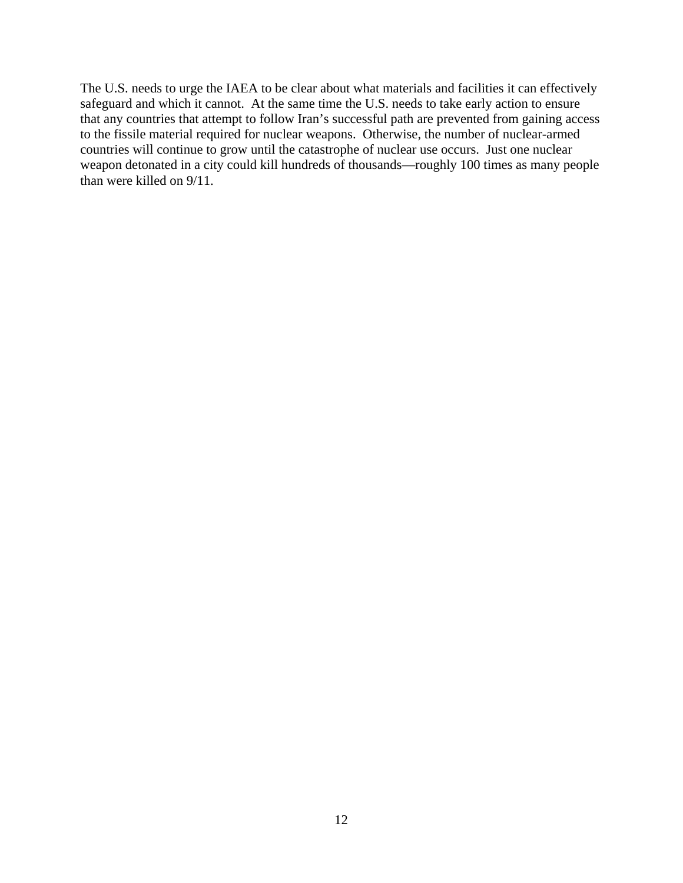The U.S. needs to urge the IAEA to be clear about what materials and facilities it can effectively safeguard and which it cannot. At the same time the U.S. needs to take early action to ensure that any countries that attempt to follow Iran's successful path are prevented from gaining access to the fissile material required for nuclear weapons. Otherwise, the number of nuclear-armed countries will continue to grow until the catastrophe of nuclear use occurs. Just one nuclear weapon detonated in a city could kill hundreds of thousands—roughly 100 times as many people than were killed on 9/11.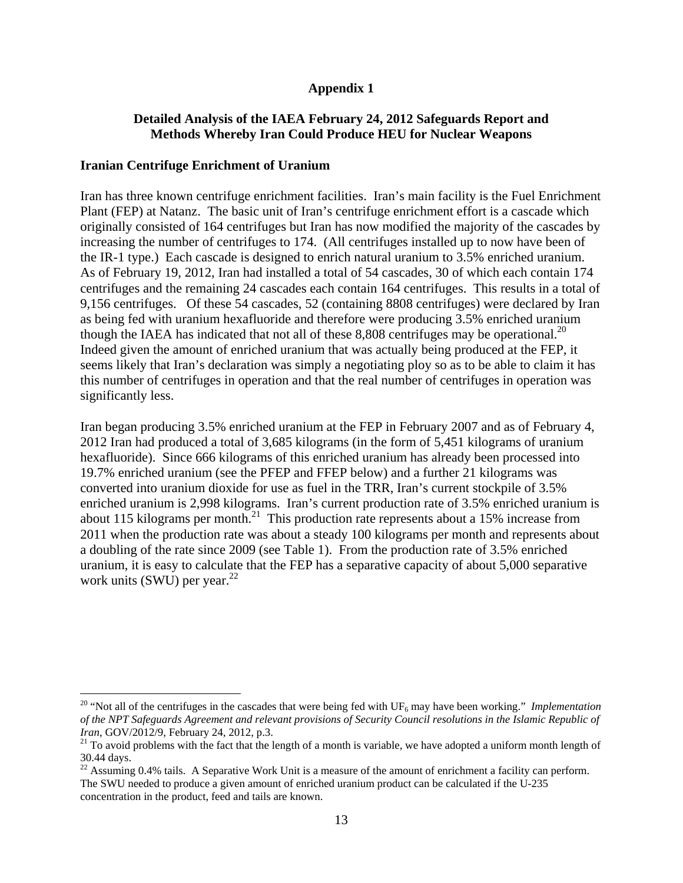# **Appendix 1**

# **Detailed Analysis of the IAEA February 24, 2012 Safeguards Report and Methods Whereby Iran Could Produce HEU for Nuclear Weapons**

### **Iranian Centrifuge Enrichment of Uranium**

 $\overline{a}$ 

Iran has three known centrifuge enrichment facilities. Iran's main facility is the Fuel Enrichment Plant (FEP) at Natanz. The basic unit of Iran's centrifuge enrichment effort is a cascade which originally consisted of 164 centrifuges but Iran has now modified the majority of the cascades by increasing the number of centrifuges to 174. (All centrifuges installed up to now have been of the IR-1 type.) Each cascade is designed to enrich natural uranium to 3.5% enriched uranium. As of February 19, 2012, Iran had installed a total of 54 cascades, 30 of which each contain 174 centrifuges and the remaining 24 cascades each contain 164 centrifuges. This results in a total of 9,156 centrifuges. Of these 54 cascades, 52 (containing 8808 centrifuges) were declared by Iran as being fed with uranium hexafluoride and therefore were producing 3.5% enriched uranium though the IAEA has indicated that not all of these 8,808 centrifuges may be operational.<sup>20</sup> Indeed given the amount of enriched uranium that was actually being produced at the FEP, it seems likely that Iran's declaration was simply a negotiating ploy so as to be able to claim it has this number of centrifuges in operation and that the real number of centrifuges in operation was significantly less.

Iran began producing 3.5% enriched uranium at the FEP in February 2007 and as of February 4, 2012 Iran had produced a total of 3,685 kilograms (in the form of 5,451 kilograms of uranium hexafluoride). Since 666 kilograms of this enriched uranium has already been processed into 19.7% enriched uranium (see the PFEP and FFEP below) and a further 21 kilograms was converted into uranium dioxide for use as fuel in the TRR, Iran's current stockpile of 3.5% enriched uranium is 2,998 kilograms. Iran's current production rate of 3.5% enriched uranium is about 115 kilograms per month.<sup>21</sup> This production rate represents about a 15% increase from 2011 when the production rate was about a steady 100 kilograms per month and represents about a doubling of the rate since 2009 (see Table 1). From the production rate of 3.5% enriched uranium, it is easy to calculate that the FEP has a separative capacity of about 5,000 separative work units (SWU) per year. $^{22}$ 

<sup>&</sup>lt;sup>20</sup> "Not all of the centrifuges in the cascades that were being fed with  $UF_6$  may have been working." *Implementation of the NPT Safeguards Agreement and relevant provisions of Security Council resolutions in the Islamic Republic of Iran, GOV/2012/9, February 24, 2012, p.3.* 

<sup>&</sup>lt;sup>21</sup> To avoid problems with the fact that the length of a month is variable, we have adopted a uniform month length of 30.44 days.

 $^{22}$  Assuming 0.4% tails. A Separative Work Unit is a measure of the amount of enrichment a facility can perform. The SWU needed to produce a given amount of enriched uranium product can be calculated if the U-235 concentration in the product, feed and tails are known.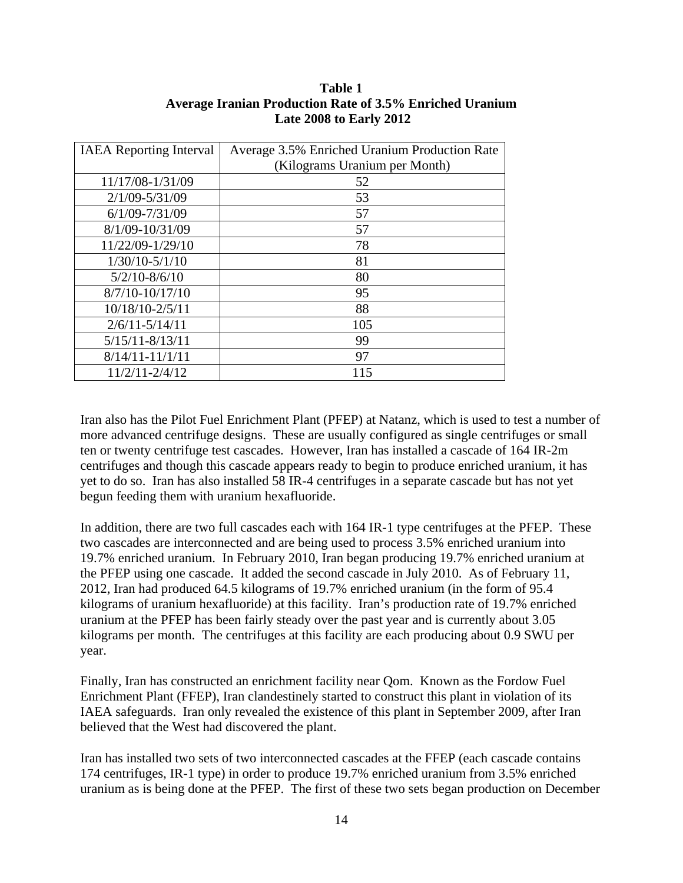## **Table 1 Average Iranian Production Rate of 3.5% Enriched Uranium Late 2008 to Early 2012**

| <b>IAEA</b> Reporting Interval | Average 3.5% Enriched Uranium Production Rate |  |
|--------------------------------|-----------------------------------------------|--|
|                                | (Kilograms Uranium per Month)                 |  |
| 11/17/08-1/31/09               | 52                                            |  |
| $2/1/09 - 5/31/09$             | 53                                            |  |
| $6/1/09 - 7/31/09$             | 57                                            |  |
| 8/1/09-10/31/09                | 57                                            |  |
| 11/22/09-1/29/10               | 78                                            |  |
| $1/30/10 - 5/1/10$             | 81                                            |  |
| $5/2/10 - 8/6/10$              | 80                                            |  |
| $8/7/10 - 10/17/10$            | 95                                            |  |
| 10/18/10-2/5/11                | 88                                            |  |
| $2/6/11 - 5/14/11$             | 105                                           |  |
| $5/15/11 - 8/13/11$            | 99                                            |  |
| $8/14/11 - 11/1/11$            | 97                                            |  |
| $11/2/11 - 2/4/12$             | 115                                           |  |

Iran also has the Pilot Fuel Enrichment Plant (PFEP) at Natanz, which is used to test a number of more advanced centrifuge designs. These are usually configured as single centrifuges or small ten or twenty centrifuge test cascades. However, Iran has installed a cascade of 164 IR-2m centrifuges and though this cascade appears ready to begin to produce enriched uranium, it has yet to do so. Iran has also installed 58 IR-4 centrifuges in a separate cascade but has not yet begun feeding them with uranium hexafluoride.

In addition, there are two full cascades each with 164 IR-1 type centrifuges at the PFEP. These two cascades are interconnected and are being used to process 3.5% enriched uranium into 19.7% enriched uranium. In February 2010, Iran began producing 19.7% enriched uranium at the PFEP using one cascade. It added the second cascade in July 2010. As of February 11, 2012, Iran had produced 64.5 kilograms of 19.7% enriched uranium (in the form of 95.4 kilograms of uranium hexafluoride) at this facility. Iran's production rate of 19.7% enriched uranium at the PFEP has been fairly steady over the past year and is currently about 3.05 kilograms per month. The centrifuges at this facility are each producing about 0.9 SWU per year.

Finally, Iran has constructed an enrichment facility near Qom. Known as the Fordow Fuel Enrichment Plant (FFEP), Iran clandestinely started to construct this plant in violation of its IAEA safeguards. Iran only revealed the existence of this plant in September 2009, after Iran believed that the West had discovered the plant.

Iran has installed two sets of two interconnected cascades at the FFEP (each cascade contains 174 centrifuges, IR-1 type) in order to produce 19.7% enriched uranium from 3.5% enriched uranium as is being done at the PFEP. The first of these two sets began production on December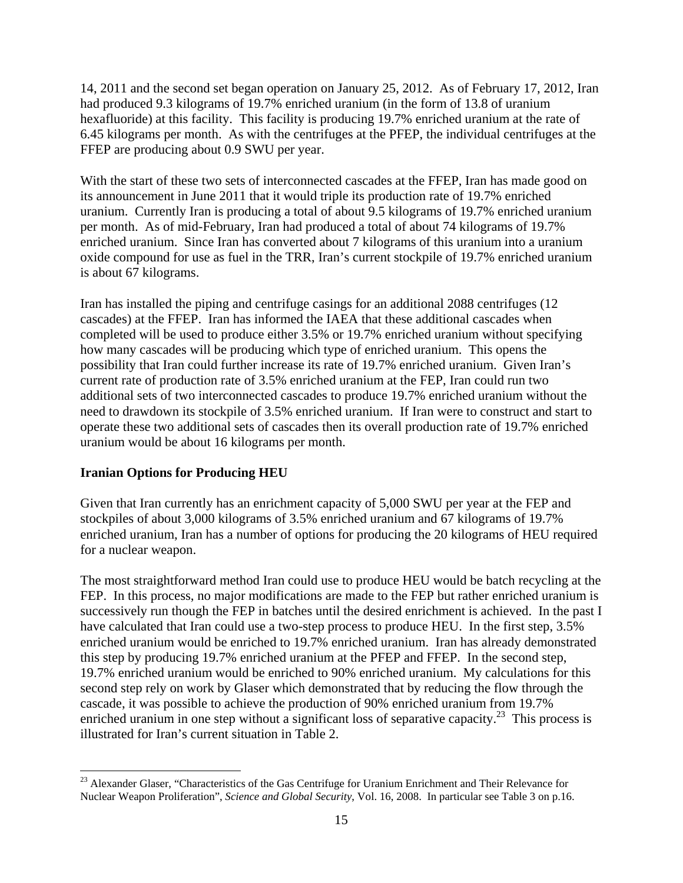14, 2011 and the second set began operation on January 25, 2012. As of February 17, 2012, Iran had produced 9.3 kilograms of 19.7% enriched uranium (in the form of 13.8 of uranium hexafluoride) at this facility. This facility is producing 19.7% enriched uranium at the rate of 6.45 kilograms per month. As with the centrifuges at the PFEP, the individual centrifuges at the FFEP are producing about 0.9 SWU per year.

With the start of these two sets of interconnected cascades at the FFEP, Iran has made good on its announcement in June 2011 that it would triple its production rate of 19.7% enriched uranium. Currently Iran is producing a total of about 9.5 kilograms of 19.7% enriched uranium per month. As of mid-February, Iran had produced a total of about 74 kilograms of 19.7% enriched uranium. Since Iran has converted about 7 kilograms of this uranium into a uranium oxide compound for use as fuel in the TRR, Iran's current stockpile of 19.7% enriched uranium is about 67 kilograms.

Iran has installed the piping and centrifuge casings for an additional 2088 centrifuges (12 cascades) at the FFEP. Iran has informed the IAEA that these additional cascades when completed will be used to produce either 3.5% or 19.7% enriched uranium without specifying how many cascades will be producing which type of enriched uranium. This opens the possibility that Iran could further increase its rate of 19.7% enriched uranium. Given Iran's current rate of production rate of 3.5% enriched uranium at the FEP, Iran could run two additional sets of two interconnected cascades to produce 19.7% enriched uranium without the need to drawdown its stockpile of 3.5% enriched uranium. If Iran were to construct and start to operate these two additional sets of cascades then its overall production rate of 19.7% enriched uranium would be about 16 kilograms per month.

### **Iranian Options for Producing HEU**

 $\overline{a}$ 

Given that Iran currently has an enrichment capacity of 5,000 SWU per year at the FEP and stockpiles of about 3,000 kilograms of 3.5% enriched uranium and 67 kilograms of 19.7% enriched uranium, Iran has a number of options for producing the 20 kilograms of HEU required for a nuclear weapon.

The most straightforward method Iran could use to produce HEU would be batch recycling at the FEP. In this process, no major modifications are made to the FEP but rather enriched uranium is successively run though the FEP in batches until the desired enrichment is achieved. In the past I have calculated that Iran could use a two-step process to produce HEU. In the first step, 3.5% enriched uranium would be enriched to 19.7% enriched uranium. Iran has already demonstrated this step by producing 19.7% enriched uranium at the PFEP and FFEP. In the second step, 19.7% enriched uranium would be enriched to 90% enriched uranium. My calculations for this second step rely on work by Glaser which demonstrated that by reducing the flow through the cascade, it was possible to achieve the production of 90% enriched uranium from 19.7% enriched uranium in one step without a significant loss of separative capacity.<sup>23</sup> This process is illustrated for Iran's current situation in Table 2.

<sup>&</sup>lt;sup>23</sup> Alexander Glaser, "Characteristics of the Gas Centrifuge for Uranium Enrichment and Their Relevance for Nuclear Weapon Proliferation", *Science and Global Security*, Vol. 16, 2008. In particular see Table 3 on p.16.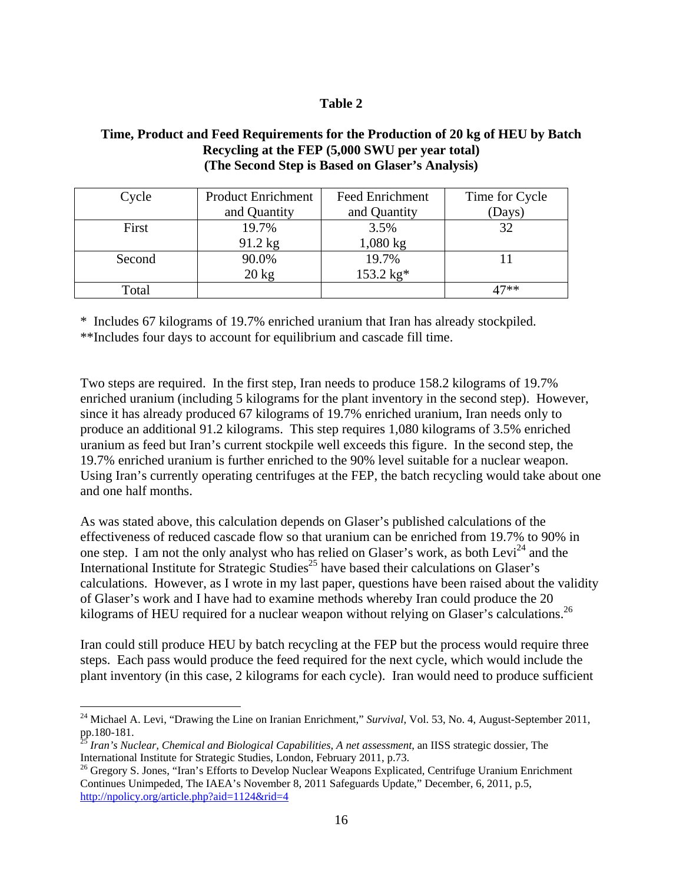### **Table 2**

## **Time, Product and Feed Requirements for the Production of 20 kg of HEU by Batch Recycling at the FEP (5,000 SWU per year total) (The Second Step is Based on Glaser's Analysis)**

| Cycle  | <b>Product Enrichment</b> | <b>Feed Enrichment</b> | Time for Cycle |
|--------|---------------------------|------------------------|----------------|
|        | and Quantity              | and Quantity           | (Days)         |
| First  | 19.7%                     | 3.5%                   | 32             |
|        | 91.2 kg                   | $1,080 \text{ kg}$     |                |
| Second | 90.0%                     | 19.7%                  |                |
|        | $20 \text{ kg}$           | $153.2 \text{ kg*}$    |                |
| Total  |                           |                        | 17**           |

\* Includes 67 kilograms of 19.7% enriched uranium that Iran has already stockpiled.

\*\*Includes four days to account for equilibrium and cascade fill time.

Two steps are required. In the first step, Iran needs to produce 158.2 kilograms of 19.7% enriched uranium (including 5 kilograms for the plant inventory in the second step). However, since it has already produced 67 kilograms of 19.7% enriched uranium, Iran needs only to produce an additional 91.2 kilograms. This step requires 1,080 kilograms of 3.5% enriched uranium as feed but Iran's current stockpile well exceeds this figure. In the second step, the 19.7% enriched uranium is further enriched to the 90% level suitable for a nuclear weapon. Using Iran's currently operating centrifuges at the FEP, the batch recycling would take about one and one half months.

As was stated above, this calculation depends on Glaser's published calculations of the effectiveness of reduced cascade flow so that uranium can be enriched from 19.7% to 90% in one step. I am not the only analyst who has relied on Glaser's work, as both Levi<sup>24</sup> and the International Institute for Strategic Studies<sup>25</sup> have based their calculations on Glaser's calculations. However, as I wrote in my last paper, questions have been raised about the validity of Glaser's work and I have had to examine methods whereby Iran could produce the 20 kilograms of HEU required for a nuclear weapon without relying on Glaser's calculations.<sup>26</sup>

Iran could still produce HEU by batch recycling at the FEP but the process would require three steps. Each pass would produce the feed required for the next cycle, which would include the plant inventory (in this case, 2 kilograms for each cycle). Iran would need to produce sufficient

<u>.</u>

<sup>&</sup>lt;sup>24</sup> Michael A. Levi, "Drawing the Line on Iranian Enrichment," *Survival*, Vol. 53, No. 4, August-September 2011, pp.180-181.

<sup>&</sup>lt;sup>25</sup> Iran's Nuclear, Chemical and Biological Capabilities, A net assessment, an IISS strategic dossier, The International Institute for Strategic Studies, London, February 2011, p.73.<br><sup>26</sup> Gregory S. Jones, "Iran's Efforts to Develop Nuclear Weapons Explicated, Centrifuge Uranium Enrichment

Continues Unimpeded, The IAEA's November 8, 2011 Safeguards Update," December, 6, 2011, p.5, http://npolicy.org/article.php?aid=1124&rid=4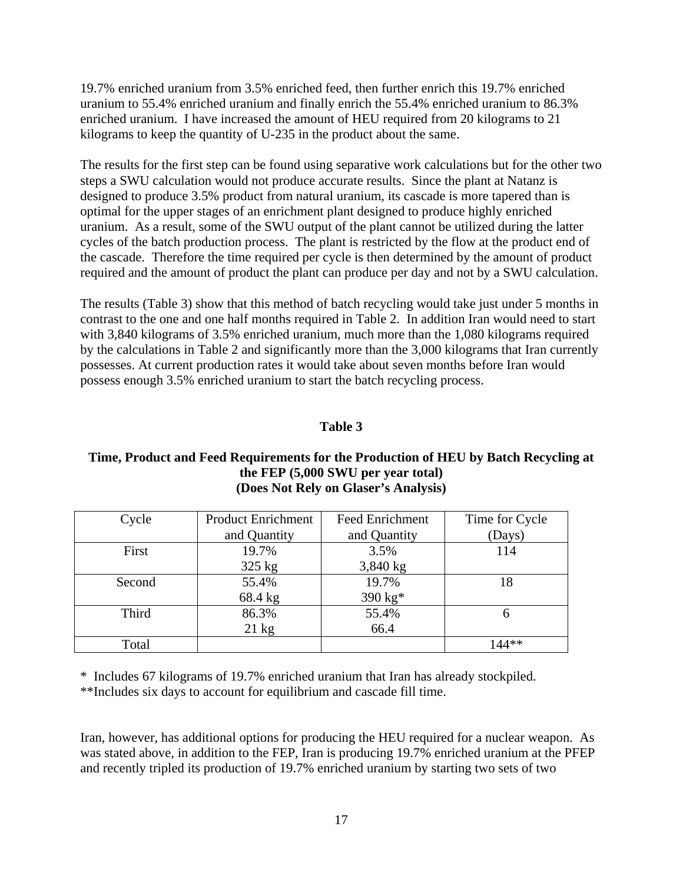19.7% enriched uranium from 3.5% enriched feed, then further enrich this 19.7% enriched uranium to 55.4% enriched uranium and finally enrich the 55.4% enriched uranium to 86.3% enriched uranium. I have increased the amount of HEU required from 20 kilograms to 21 kilograms to keep the quantity of U-235 in the product about the same.

The results for the first step can be found using separative work calculations but for the other two steps a SWU calculation would not produce accurate results. Since the plant at Natanz is designed to produce 3.5% product from natural uranium, its cascade is more tapered than is optimal for the upper stages of an enrichment plant designed to produce highly enriched uranium. As a result, some of the SWU output of the plant cannot be utilized during the latter cycles of the batch production process. The plant is restricted by the flow at the product end of the cascade. Therefore the time required per cycle is then determined by the amount of product required and the amount of product the plant can produce per day and not by a SWU calculation.

The results (Table 3) show that this method of batch recycling would take just under 5 months in contrast to the one and one half months required in Table 2. In addition Iran would need to start with 3,840 kilograms of 3.5% enriched uranium, much more than the 1,080 kilograms required by the calculations in Table 2 and significantly more than the 3,000 kilograms that Iran currently possesses. At current production rates it would take about seven months before Iran would possess enough 3.5% enriched uranium to start the batch recycling process.

#### **Table 3**

### **Time, Product and Feed Requirements for the Production of HEU by Batch Recycling at the FEP (5,000 SWU per year total) (Does Not Rely on Glaser's Analysis)**

| Cycle  | <b>Product Enrichment</b> | <b>Feed Enrichment</b> | Time for Cycle |
|--------|---------------------------|------------------------|----------------|
|        | and Quantity              | and Quantity           | (Days)         |
| First  | 19.7%                     | 3.5%                   | 114            |
|        | $325$ kg                  | $3,840$ kg             |                |
| Second | 55.4%                     | 19.7%                  | 18             |
|        | 68.4 kg                   | 390 kg*                |                |
| Third  | 86.3%                     | 55.4%                  |                |
|        | $21 \text{ kg}$           | 66.4                   |                |
| Total  |                           |                        | $144**$        |

\* Includes 67 kilograms of 19.7% enriched uranium that Iran has already stockpiled.

\*\*Includes six days to account for equilibrium and cascade fill time.

Iran, however, has additional options for producing the HEU required for a nuclear weapon. As was stated above, in addition to the FEP, Iran is producing 19.7% enriched uranium at the PFEP and recently tripled its production of 19.7% enriched uranium by starting two sets of two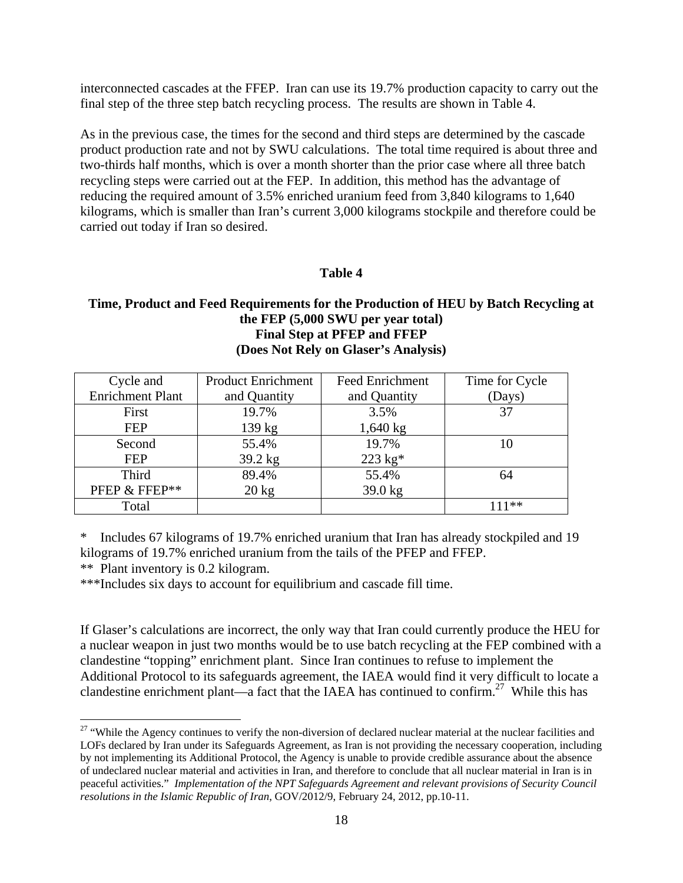interconnected cascades at the FFEP. Iran can use its 19.7% production capacity to carry out the final step of the three step batch recycling process. The results are shown in Table 4.

As in the previous case, the times for the second and third steps are determined by the cascade product production rate and not by SWU calculations. The total time required is about three and two-thirds half months, which is over a month shorter than the prior case where all three batch recycling steps were carried out at the FEP. In addition, this method has the advantage of reducing the required amount of 3.5% enriched uranium feed from 3,840 kilograms to 1,640 kilograms, which is smaller than Iran's current 3,000 kilograms stockpile and therefore could be carried out today if Iran so desired.

#### **Table 4**

### **Time, Product and Feed Requirements for the Production of HEU by Batch Recycling at the FEP (5,000 SWU per year total) Final Step at PFEP and FFEP (Does Not Rely on Glaser's Analysis)**

| Cycle and               | <b>Product Enrichment</b> | <b>Feed Enrichment</b> | Time for Cycle |
|-------------------------|---------------------------|------------------------|----------------|
| <b>Enrichment Plant</b> | and Quantity              | and Quantity           | (Days)         |
| First                   | 19.7%                     | 3.5%                   | 37             |
| <b>FEP</b>              | 139 kg                    | $1,640 \text{ kg}$     |                |
| Second                  | 55.4%                     | 19.7%                  | 10             |
| <b>FEP</b>              | 39.2 kg                   | $223 \text{ kg}^*$     |                |
| <b>Third</b>            | 89.4%                     | 55.4%                  | 64             |
| PFEP & FFEP**           | $20 \text{ kg}$           | $39.0$ kg              |                |
| Total                   |                           |                        | 111**          |

\* Includes 67 kilograms of 19.7% enriched uranium that Iran has already stockpiled and 19 kilograms of 19.7% enriched uranium from the tails of the PFEP and FFEP.

\*\* Plant inventory is 0.2 kilogram.

 $\overline{a}$ 

\*\*\*Includes six days to account for equilibrium and cascade fill time.

If Glaser's calculations are incorrect, the only way that Iran could currently produce the HEU for a nuclear weapon in just two months would be to use batch recycling at the FEP combined with a clandestine "topping" enrichment plant. Since Iran continues to refuse to implement the Additional Protocol to its safeguards agreement, the IAEA would find it very difficult to locate a clandestine enrichment plant—a fact that the IAEA has continued to confirm.<sup>27</sup> While this has

<sup>&</sup>lt;sup>27</sup> "While the Agency continues to verify the non-diversion of declared nuclear material at the nuclear facilities and LOFs declared by Iran under its Safeguards Agreement, as Iran is not providing the necessary cooperation, including by not implementing its Additional Protocol, the Agency is unable to provide credible assurance about the absence of undeclared nuclear material and activities in Iran, and therefore to conclude that all nuclear material in Iran is in peaceful activities." *Implementation of the NPT Safeguards Agreement and relevant provisions of Security Council resolutions in the Islamic Republic of Iran*, GOV/2012/9, February 24, 2012, pp.10-11.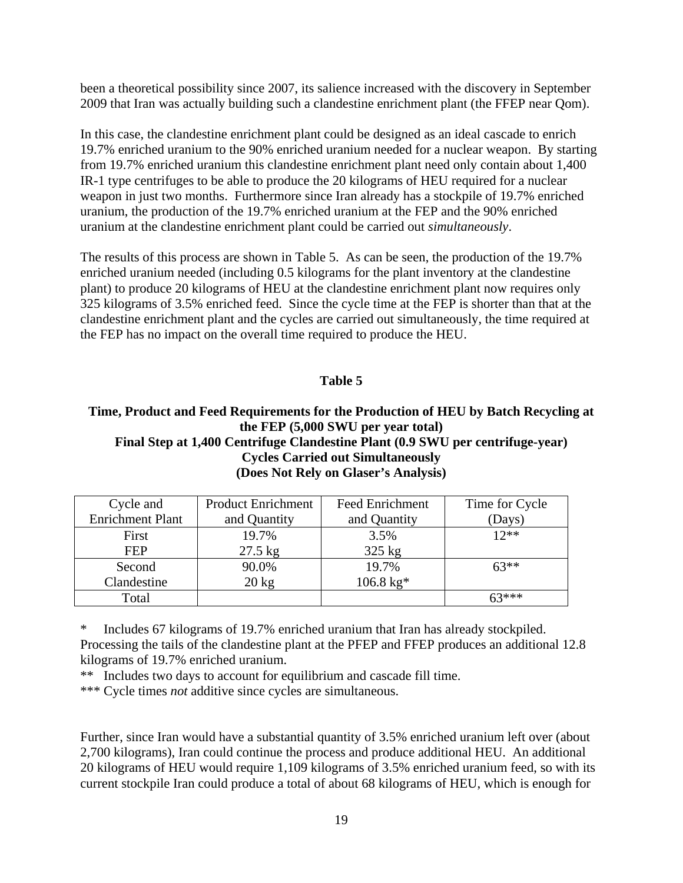been a theoretical possibility since 2007, its salience increased with the discovery in September 2009 that Iran was actually building such a clandestine enrichment plant (the FFEP near Qom).

In this case, the clandestine enrichment plant could be designed as an ideal cascade to enrich 19.7% enriched uranium to the 90% enriched uranium needed for a nuclear weapon. By starting from 19.7% enriched uranium this clandestine enrichment plant need only contain about 1,400 IR-1 type centrifuges to be able to produce the 20 kilograms of HEU required for a nuclear weapon in just two months. Furthermore since Iran already has a stockpile of 19.7% enriched uranium, the production of the 19.7% enriched uranium at the FEP and the 90% enriched uranium at the clandestine enrichment plant could be carried out *simultaneously*.

The results of this process are shown in Table 5. As can be seen, the production of the 19.7% enriched uranium needed (including 0.5 kilograms for the plant inventory at the clandestine plant) to produce 20 kilograms of HEU at the clandestine enrichment plant now requires only 325 kilograms of 3.5% enriched feed. Since the cycle time at the FEP is shorter than that at the clandestine enrichment plant and the cycles are carried out simultaneously, the time required at the FEP has no impact on the overall time required to produce the HEU.

### **Table 5**

## **Time, Product and Feed Requirements for the Production of HEU by Batch Recycling at the FEP (5,000 SWU per year total) Final Step at 1,400 Centrifuge Clandestine Plant (0.9 SWU per centrifuge-year) Cycles Carried out Simultaneously (Does Not Rely on Glaser's Analysis)**

| Cycle and               | <b>Product Enrichment</b> | <b>Feed Enrichment</b> | Time for Cycle |
|-------------------------|---------------------------|------------------------|----------------|
| <b>Enrichment Plant</b> | and Quantity              | and Quantity           | (Days)         |
| First                   | 19.7%                     | 3.5%                   | $12**$         |
| <b>FEP</b>              | $27.5$ kg                 | $325$ kg               |                |
| Second                  | 90.0%                     | 19.7%                  | $63**$         |
| Clandestine             | $20 \text{ kg}$           | $106.8 \text{ kg}$ *   |                |
| Total                   |                           |                        | $63***$        |

\* Includes 67 kilograms of 19.7% enriched uranium that Iran has already stockpiled. Processing the tails of the clandestine plant at the PFEP and FFEP produces an additional 12.8 kilograms of 19.7% enriched uranium.

\*\* Includes two days to account for equilibrium and cascade fill time.

\*\*\* Cycle times *not* additive since cycles are simultaneous.

Further, since Iran would have a substantial quantity of 3.5% enriched uranium left over (about 2,700 kilograms), Iran could continue the process and produce additional HEU. An additional 20 kilograms of HEU would require 1,109 kilograms of 3.5% enriched uranium feed, so with its current stockpile Iran could produce a total of about 68 kilograms of HEU, which is enough for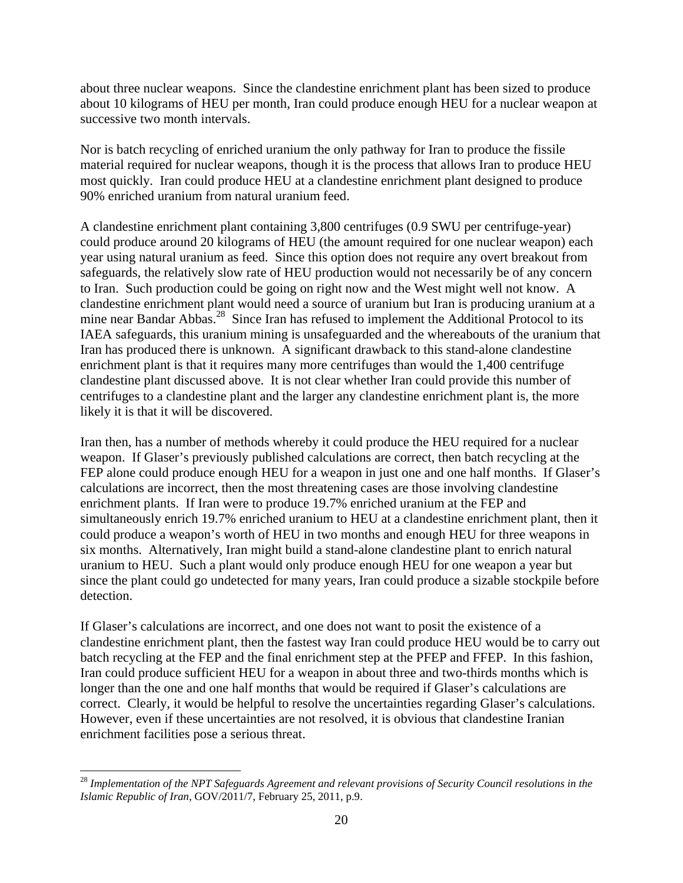about three nuclear weapons. Since the clandestine enrichment plant has been sized to produce about 10 kilograms of HEU per month, Iran could produce enough HEU for a nuclear weapon at successive two month intervals.

Nor is batch recycling of enriched uranium the only pathway for Iran to produce the fissile material required for nuclear weapons, though it is the process that allows Iran to produce HEU most quickly. Iran could produce HEU at a clandestine enrichment plant designed to produce 90% enriched uranium from natural uranium feed.

A clandestine enrichment plant containing 3,800 centrifuges (0.9 SWU per centrifuge-year) could produce around 20 kilograms of HEU (the amount required for one nuclear weapon) each year using natural uranium as feed. Since this option does not require any overt breakout from safeguards, the relatively slow rate of HEU production would not necessarily be of any concern to Iran. Such production could be going on right now and the West might well not know. A clandestine enrichment plant would need a source of uranium but Iran is producing uranium at a mine near Bandar Abbas.<sup>28</sup> Since Iran has refused to implement the Additional Protocol to its IAEA safeguards, this uranium mining is unsafeguarded and the whereabouts of the uranium that Iran has produced there is unknown. A significant drawback to this stand-alone clandestine enrichment plant is that it requires many more centrifuges than would the 1,400 centrifuge clandestine plant discussed above. It is not clear whether Iran could provide this number of centrifuges to a clandestine plant and the larger any clandestine enrichment plant is, the more likely it is that it will be discovered.

Iran then, has a number of methods whereby it could produce the HEU required for a nuclear weapon. If Glaser's previously published calculations are correct, then batch recycling at the FEP alone could produce enough HEU for a weapon in just one and one half months. If Glaser's calculations are incorrect, then the most threatening cases are those involving clandestine enrichment plants. If Iran were to produce 19.7% enriched uranium at the FEP and simultaneously enrich 19.7% enriched uranium to HEU at a clandestine enrichment plant, then it could produce a weapon's worth of HEU in two months and enough HEU for three weapons in six months. Alternatively, Iran might build a stand-alone clandestine plant to enrich natural uranium to HEU. Such a plant would only produce enough HEU for one weapon a year but since the plant could go undetected for many years, Iran could produce a sizable stockpile before detection.

If Glaser's calculations are incorrect, and one does not want to posit the existence of a clandestine enrichment plant, then the fastest way Iran could produce HEU would be to carry out batch recycling at the FEP and the final enrichment step at the PFEP and FFEP. In this fashion, Iran could produce sufficient HEU for a weapon in about three and two-thirds months which is longer than the one and one half months that would be required if Glaser's calculations are correct. Clearly, it would be helpful to resolve the uncertainties regarding Glaser's calculations. However, even if these uncertainties are not resolved, it is obvious that clandestine Iranian enrichment facilities pose a serious threat.

 $\overline{a}$ 

<sup>&</sup>lt;sup>28</sup> Implementation of the NPT Safeguards Agreement and relevant provisions of Security Council resolutions in the *Islamic Republic of Iran*, GOV/2011/7, February 25, 2011, p.9.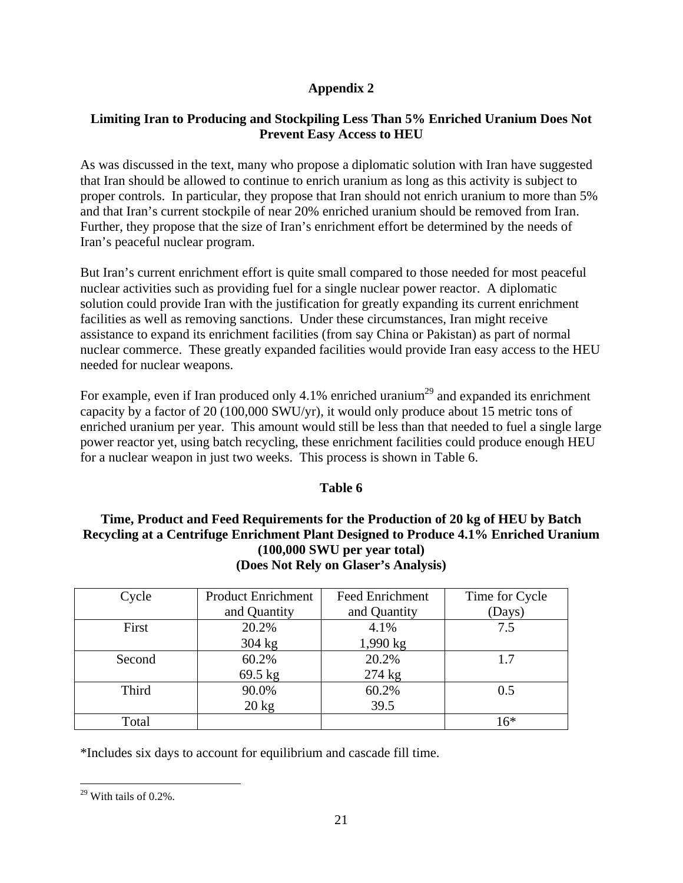# **Appendix 2**

# **Limiting Iran to Producing and Stockpiling Less Than 5% Enriched Uranium Does Not Prevent Easy Access to HEU**

As was discussed in the text, many who propose a diplomatic solution with Iran have suggested that Iran should be allowed to continue to enrich uranium as long as this activity is subject to proper controls. In particular, they propose that Iran should not enrich uranium to more than 5% and that Iran's current stockpile of near 20% enriched uranium should be removed from Iran. Further, they propose that the size of Iran's enrichment effort be determined by the needs of Iran's peaceful nuclear program.

But Iran's current enrichment effort is quite small compared to those needed for most peaceful nuclear activities such as providing fuel for a single nuclear power reactor. A diplomatic solution could provide Iran with the justification for greatly expanding its current enrichment facilities as well as removing sanctions. Under these circumstances, Iran might receive assistance to expand its enrichment facilities (from say China or Pakistan) as part of normal nuclear commerce. These greatly expanded facilities would provide Iran easy access to the HEU needed for nuclear weapons.

For example, even if Iran produced only 4.1% enriched uranium<sup>29</sup> and expanded its enrichment capacity by a factor of 20 (100,000 SWU/yr), it would only produce about 15 metric tons of enriched uranium per year. This amount would still be less than that needed to fuel a single large power reactor yet, using batch recycling, these enrichment facilities could produce enough HEU for a nuclear weapon in just two weeks. This process is shown in Table 6.

# **Table 6**

# **Time, Product and Feed Requirements for the Production of 20 kg of HEU by Batch Recycling at a Centrifuge Enrichment Plant Designed to Produce 4.1% Enriched Uranium (100,000 SWU per year total) (Does Not Rely on Glaser's Analysis)**

| Cycle  | <b>Product Enrichment</b> | <b>Feed Enrichment</b> | Time for Cycle |
|--------|---------------------------|------------------------|----------------|
|        | and Quantity              | and Quantity           | (Days)         |
| First  | 20.2%                     | 4.1%                   | 7.5            |
|        | $304 \text{ kg}$          | $1,990 \text{ kg}$     |                |
| Second | 60.2%                     | 20.2%                  | 1.7            |
|        | 69.5 kg                   | $274 \text{ kg}$       |                |
| Third  | 90.0%                     | 60.2%                  | 0.5            |
|        | $20 \text{ kg}$           | 39.5                   |                |
| Total  |                           |                        | $16*$          |

\*Includes six days to account for equilibrium and cascade fill time.

 $\overline{a}$  $29$  With tails of 0.2%.